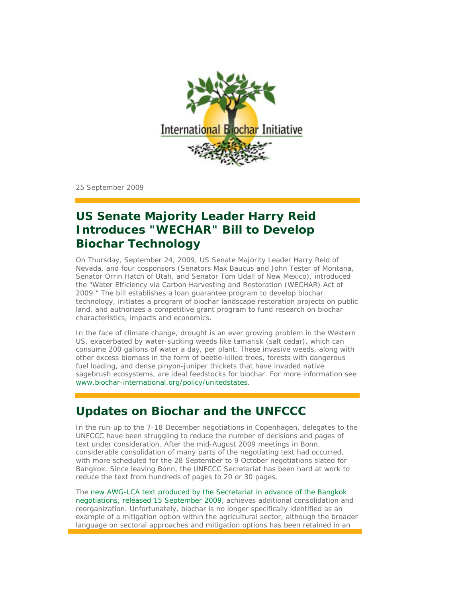

25 September 2009

# **US Senate Majority Leader Harry Reid Introduces "WECHAR" Bill to Develop Biochar Technology**

On Thursday, September 24, 2009, US Senate Majority Leader Harry Reid of Nevada, and four cosponsors (Senators Max Baucus and John Tester of Montana, Senator Orrin Hatch of Utah, and Senator Tom Udall of New Mexico), introduced the "Water Efficiency via Carbon Harvesting and Restoration (WECHAR) Act of 2009." The bill establishes a loan guarantee program to develop biochar technology, initiates a program of biochar landscape restoration projects on public land, and authorizes a competitive grant program to fund research on biochar characteristics, impacts and economics.

In the face of climate change, drought is an ever growing problem in the Western US, exacerbated by water-sucking weeds like tamarisk (salt cedar), which can consume 200 gallons of water a day, per plant. These invasive weeds, along with other excess biomass in the form of beetle-killed trees, forests with dangerous fuel loading, and dense pinyon-juniper thickets that have invaded native sagebrush ecosystems, are ideal feedstocks for biochar. For more information see www.biochar-international.org/policy/unitedstates.

# **Updates on Biochar and the UNFCCC**

In the run-up to the 7-18 December negotiations in Copenhagen, delegates to the UNFCCC have been struggling to reduce the number of decisions and pages of text under consideration. After the mid-August 2009 meetings in Bonn, considerable consolidation of many parts of the negotiating text had occurred, with more scheduled for the 28 September to 9 October negotiations slated for Bangkok. Since leaving Bonn, the UNFCCC Secretariat has been hard at work to reduce the text from hundreds of pages to 20 or 30 pages.

The new AWG-LCA text produced by the Secretariat in advance of the Bangkok negotiations, released 15 September 2009, achieves additional consolidation and reorganization. Unfortunately, biochar is no longer specifically identified as an example of a mitigation option within the agricultural sector, although the broader language on sectoral approaches and mitigation options has been retained in an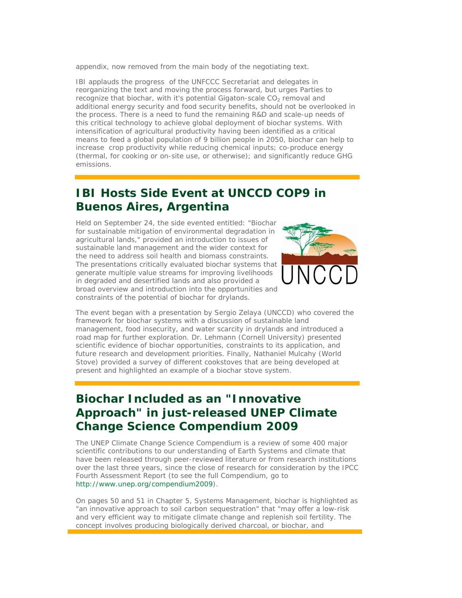appendix, now removed from the main body of the negotiating text.

IBI applauds the progress of the UNFCCC Secretariat and delegates in reorganizing the text and moving the process forward, but urges Parties to recognize that biochar, with it's potential Gigaton-scale  $CO<sub>2</sub>$  removal and additional energy security and food security benefits, should not be overlooked in the process. There is a need to fund the remaining R&D and scale-up needs of this critical technology to achieve global deployment of biochar systems. With intensification of agricultural productivity having been identified as a critical means to feed a global population of 9 billion people in 2050, biochar can help to increase crop productivity while reducing chemical inputs; co-produce energy (thermal, for cooking or on-site use, or otherwise); and significantly reduce GHG emissions.

#### **IBI Hosts Side Event at UNCCD COP9 in Buenos Aires, Argentina**

Held on September 24, the side evented entitled: "Biochar for sustainable mitigation of environmental degradation in agricultural lands," provided an introduction to issues of sustainable land management and the wider context for the need to address soil health and biomass constraints. The presentations critically evaluated biochar systems that generate multiple value streams for improving livelihoods in degraded and desertified lands and also provided a broad overview and introduction into the opportunities and constraints of the potential of biochar for drylands.



The event began with a presentation by Sergio Zelaya (UNCCD) who covered the framework for biochar systems with a discussion of sustainable land management, food insecurity, and water scarcity in drylands and introduced a road map for further exploration. Dr. Lehmann (Cornell University) presented scientific evidence of biochar opportunities, constraints to its application, and future research and development priorities. Finally, Nathaniel Mulcahy (World Stove) provided a survey of different cookstoves that are being developed at present and highlighted an example of a biochar stove system.

## **Biochar Included as an "Innovative Approach" in just-released UNEP Climate Change Science Compendium 2009**

The UNEP Climate Change Science Compendium is a review of some 400 major scientific contributions to our understanding of Earth Systems and climate that have been released through peer-reviewed literature or from research institutions over the last three years, since the close of research for consideration by the IPCC Fourth Assessment Report (to see the full Compendium, go to http://www.unep.org/compendium2009).

On pages 50 and 51 in Chapter 5, Systems Management, biochar is highlighted as "an innovative approach to soil carbon sequestration" that "may offer a low-risk and very efficient way to mitigate climate change and replenish soil fertility. The concept involves producing biologically derived charcoal, or biochar, and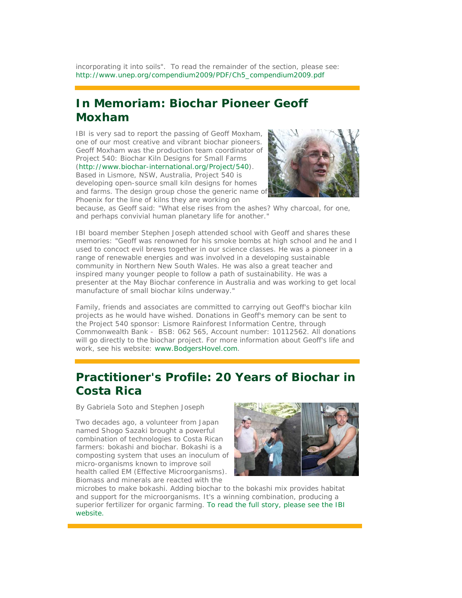incorporating it into soils". To read the remainder of the section, please see: http://www.unep.org/compendium2009/PDF/Ch5\_compendium2009.pdf

## **In Memoriam: Biochar Pioneer Geoff Moxham**

IBI is very sad to report the passing of Geoff Moxham, one of our most creative and vibrant biochar pioneers. Geoff Moxham was the production team coordinator of Project 540: Biochar Kiln Designs for Small Farms (http://www.biochar-international.org/Project/540). Based in Lismore, NSW, Australia, Project 540 is developing open-source small kiln designs for homes and farms. The design group chose the generic name of

Phoenix for the line of kilns they are working on



because, as Geoff said: "What else rises from the ashes? Why charcoal, for one, and perhaps convivial human planetary life for another."

IBI board member Stephen Joseph attended school with Geoff and shares these memories: "Geoff was renowned for his smoke bombs at high school and he and I used to concoct evil brews together in our science classes. He was a pioneer in a range of renewable energies and was involved in a developing sustainable community in Northern New South Wales. He was also a great teacher and inspired many younger people to follow a path of sustainability. He was a presenter at the May Biochar conference in Australia and was working to get local manufacture of small biochar kilns underway."

Family, friends and associates are committed to carrying out Geoff's biochar kiln projects as he would have wished. Donations in Geoff's memory can be sent to the Project 540 sponsor: Lismore Rainforest Information Centre, through Commonwealth Bank - BSB: 062 565, Account number: 10112562. All donations will go directly to the biochar project. For more information about Geoff's life and work, see his website: www.BodgersHovel.com.

# **Practitioner's Profile: 20 Years of Biochar in Costa Rica**

By Gabriela Soto and Stephen Joseph

Two decades ago, a volunteer from Japan named Shogo Sazaki brought a powerful combination of technologies to Costa Rican farmers: bokashi and biochar. Bokashi is a composting system that uses an inoculum of micro-organisms known to improve soil health called EM (Effective Microorganisms). Biomass and minerals are reacted with the



microbes to make bokashi. Adding biochar to the bokashi mix provides habitat and support for the microorganisms. It's a winning combination, producing a superior fertilizer for organic farming. To read the full story, please see the IBI website.